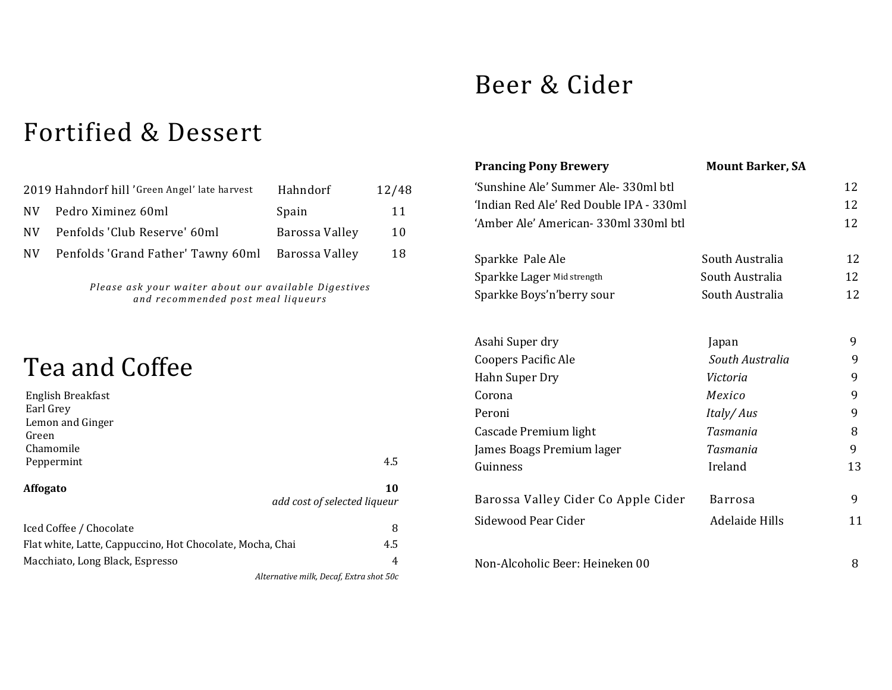## Beer & Cider

## Fortified & Dessert

| 2019 Hahndorf hill 'Green Angel' late harvest |                                                   | Hahndorf       | 12/48 |
|-----------------------------------------------|---------------------------------------------------|----------------|-------|
| NV.                                           | Pedro Ximinez 60ml                                | Spain          | 11    |
| NV.                                           | Penfolds 'Club Reserve' 60ml                      | Barossa Valley | 10    |
| NV.                                           | Penfolds 'Grand Father' Tawny 60ml Barossa Valley |                | 18    |

*P leas e as k y our w aiter about our av ailable Diges tives and r ec ommended p os t meal liqueur s*

## Tea and Coffee

| English Breakfast                                         |                                         |
|-----------------------------------------------------------|-----------------------------------------|
| Earl Grey                                                 |                                         |
| Lemon and Ginger                                          |                                         |
| Green                                                     |                                         |
| Chamomile                                                 |                                         |
| Peppermint                                                | 4.5                                     |
| <b>Affogato</b>                                           | 10<br>add cost of selected liqueur      |
| Iced Coffee / Chocolate                                   | 8                                       |
| Flat white, Latte, Cappuccino, Hot Chocolate, Mocha, Chai | 4.5                                     |
| Macchiato, Long Black, Espresso                           | 4                                       |
|                                                           | Alternative milk, Decaf, Extra shot 50c |

| <b>Prancing Pony Brewery</b>            | <b>Mount Barker, SA</b> |    |
|-----------------------------------------|-------------------------|----|
| 'Sunshine Ale' Summer Ale- 330ml btl    |                         | 12 |
| 'Indian Red Ale' Red Double IPA - 330ml |                         | 12 |
| 'Amber Ale' American- 330ml 330ml btl   |                         | 12 |
| Sparkke Pale Ale                        | South Australia         | 12 |
| Sparkke Lager Mid strength              | South Australia         | 12 |
| Sparkke Boys'n'berry sour               | South Australia         | 12 |
| Asahi Super dry                         | Japan                   | 9  |
| <b>Coopers Pacific Ale</b>              | South Australia         | 9  |
| Hahn Super Dry                          | Victoria                | 9  |
| Corona                                  | Mexico                  | 9  |
| Peroni                                  | Italy/Aus               | 9  |
| Cascade Premium light                   | Tasmania                | 8  |
| James Boags Premium lager               | Tasmania                | 9  |
| Guinness                                | Ireland                 | 13 |
| Barossa Valley Cider Co Apple Cider     | Barrosa                 | 9  |
| Sidewood Pear Cider                     | Adelaide Hills          | 11 |
| Non-Alcoholic Beer: Heineken 00         |                         | 8  |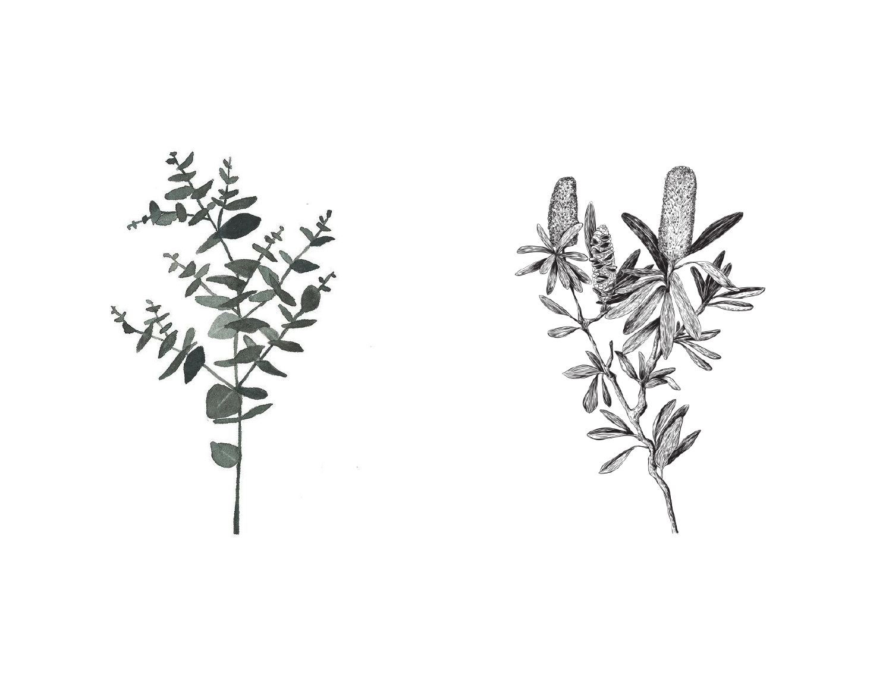

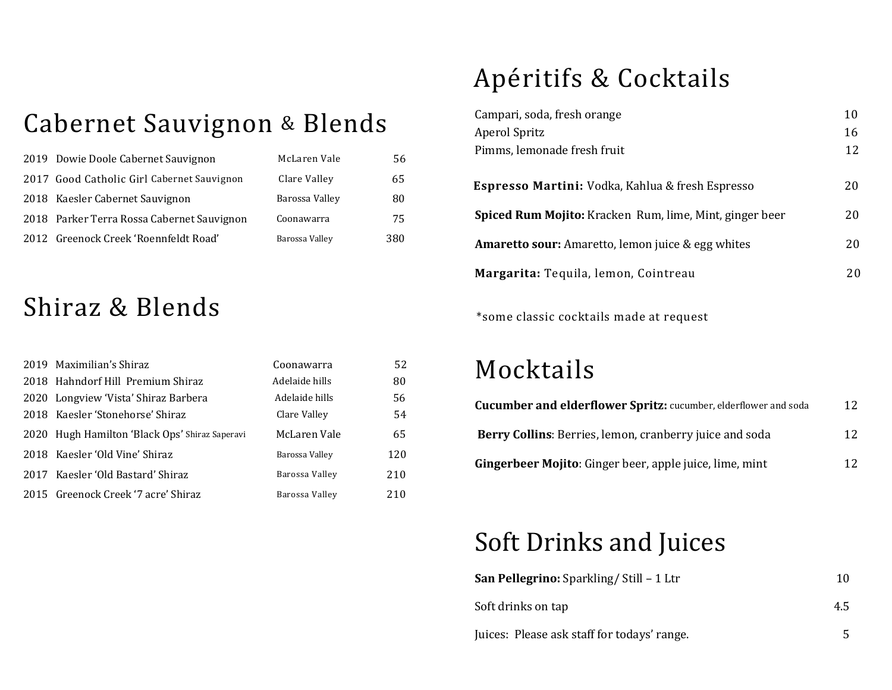# Cabernet Sauvignon & Blends

| 2019 Dowie Doole Cabernet Sauvignon        | McLaren Vale   | 56  |
|--------------------------------------------|----------------|-----|
| 2017 Good Catholic Girl Cabernet Sauvignon | Clare Valley   | 65  |
| 2018 Kaesler Cabernet Sauvignon            | Barossa Valley | 80  |
| 2018 Parker Terra Rossa Cabernet Sauvignon | Coonawarra     | 75  |
| 2012 Greenock Creek 'Roennfeldt Road'      | Barossa Valley | 380 |

### Shiraz & Blends

| 2019 Maximilian's Shiraz                       | Coonawarra     | 52  |
|------------------------------------------------|----------------|-----|
| 2018 Hahndorf Hill Premium Shiraz              | Adelaide hills | 80  |
| 2020 Longview 'Vista' Shiraz Barbera           | Adelaide hills | 56  |
| 2018 Kaesler 'Stonehorse' Shiraz               | Clare Valley   | 54  |
| 2020 Hugh Hamilton 'Black Ops' Shiraz Saperavi | McLaren Vale   | 65  |
| 2018 Kaesler 'Old Vine' Shiraz                 | Barossa Valley | 120 |
| 2017 Kaesler 'Old Bastard' Shiraz              | Barossa Valley | 210 |
| 2015 Greenock Creek '7 acre' Shiraz            | Barossa Valley | 210 |

# Apéritifs & Cocktails

| Campari, soda, fresh orange                                 | 10 |
|-------------------------------------------------------------|----|
| Aperol Spritz                                               | 16 |
| Pimms, lemonade fresh fruit                                 | 12 |
|                                                             |    |
| <b>Espresso Martini: Vodka, Kahlua &amp; fresh Espresso</b> | 20 |
| Spiced Rum Mojito: Kracken Rum, lime, Mint, ginger beer     | 20 |
|                                                             |    |
| Amaretto sour: Amaretto, lemon juice & egg whites           | 20 |
| Margarita: Tequila, lemon, Cointreau                        | 20 |

\*some classic cocktails made at request

#### Mocktails

| <b>Cucumber and elderflower Spritz:</b> cucumber, elderflower and soda | 12 |
|------------------------------------------------------------------------|----|
| <b>Berry Collins:</b> Berries, lemon, cranberry juice and soda         | 12 |
| <b>Gingerbeer Mojito:</b> Ginger beer, apple juice, lime, mint         | 12 |

### Soft Drinks and Juices

| <b>San Pellegrino:</b> Sparkling/ Still - 1 Ltr | 10  |
|-------------------------------------------------|-----|
| Soft drinks on tap                              | 4.5 |
| Juices: Please ask staff for todays' range.     |     |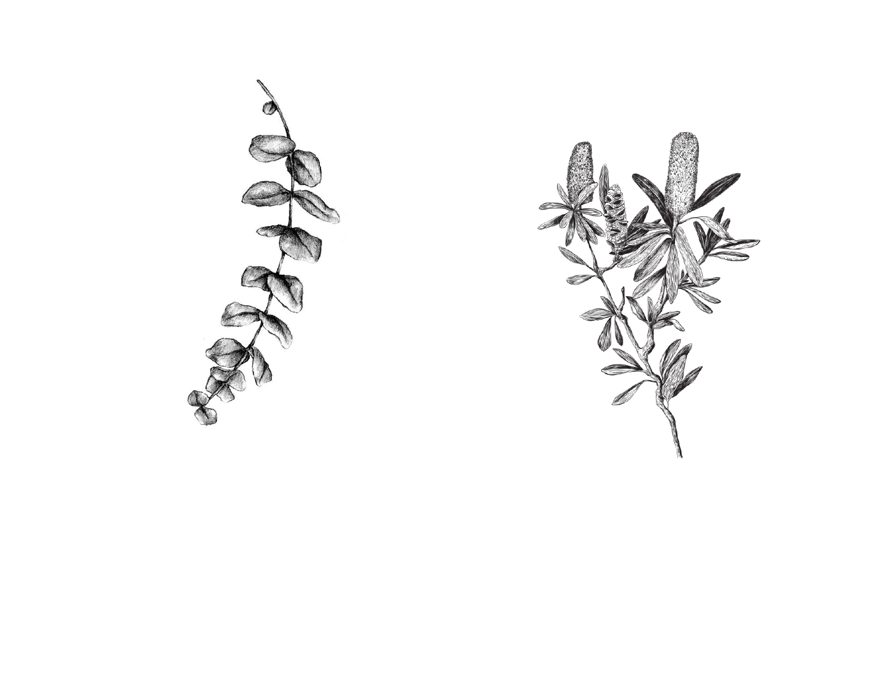

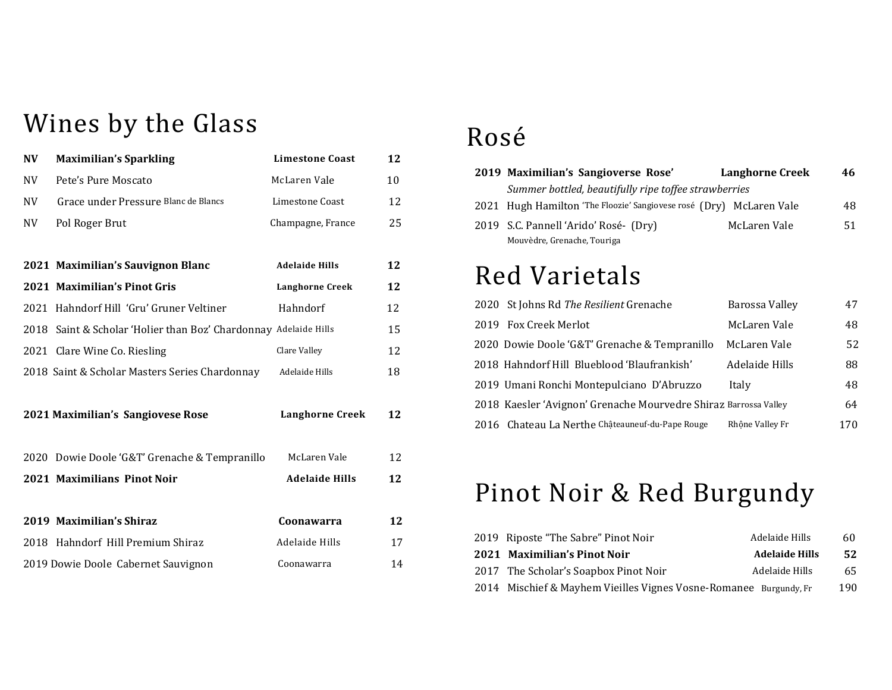# Wines by the Glass

| <b>NV</b>                                                   | <b>Maximilian's Sparkling</b>                                    | <b>Limestone Coast</b> | 12 |
|-------------------------------------------------------------|------------------------------------------------------------------|------------------------|----|
| NV                                                          | Pete's Pure Moscato                                              | McLaren Vale           | 10 |
| NV                                                          | Grace under Pressure Blanc de Blancs                             | Limestone Coast        | 12 |
| NV                                                          | Pol Roger Brut                                                   | Champagne, France      | 25 |
|                                                             |                                                                  |                        |    |
|                                                             | 2021 Maximilian's Sauvignon Blanc                                | <b>Adelaide Hills</b>  | 12 |
|                                                             | 2021 Maximilian's Pinot Gris                                     | <b>Langhorne Creek</b> | 12 |
|                                                             | 2021 Hahndorf Hill 'Gru' Gruner Veltiner                         | Hahndorf               | 12 |
|                                                             | 2018 Saint & Scholar 'Holier than Boz' Chardonnay Adelaide Hills |                        | 15 |
|                                                             | 2021 Clare Wine Co. Riesling                                     | Clare Valley           | 12 |
|                                                             | 2018 Saint & Scholar Masters Series Chardonnay                   | Adelaide Hills         | 18 |
|                                                             |                                                                  |                        |    |
| 2021 Maximilian's Sangiovese Rose<br><b>Langhorne Creek</b> |                                                                  | 12                     |    |
|                                                             |                                                                  |                        |    |
|                                                             | 2020 Dowie Doole 'G&T' Grenache & Tempranillo                    | McLaren Vale           | 12 |
|                                                             | 2021 Maximilians Pinot Noir                                      | <b>Adelaide Hills</b>  | 12 |
|                                                             |                                                                  |                        |    |
|                                                             | 2019 Maximilian's Shiraz                                         | Coonawarra             | 12 |
|                                                             | 2018 Hahndorf Hill Premium Shiraz                                | Adelaide Hills         | 17 |
| 2019 Dowie Doole Cabernet Sauvignon                         |                                                                  | Coonawarra             | 14 |

## Rosé

| 2019 Maximilian's Sangioverse Rose'                                 | <b>Langhorne Creek</b> | 46. |
|---------------------------------------------------------------------|------------------------|-----|
| Summer bottled, beautifully ripe toffee strawberries                |                        |     |
| 2021 Hugh Hamilton 'The Floozie' Sangiovese rosé (Dry) McLaren Vale |                        | 48  |
| 2019 S.C. Pannell 'Arido' Rosé- (Dry)                               | McLaren Vale           | 51  |
| Mouvèdre, Grenache, Touriga                                         |                        |     |

# Red Varietals

| 2020 St Johns Rd The Resilient Grenache                          | Barossa Valley  | 47  |
|------------------------------------------------------------------|-----------------|-----|
| 2019 Fox Creek Merlot                                            | McLaren Vale    | 48  |
| 2020 Dowie Doole 'G&T' Grenache & Tempranillo                    | McLaren Vale    | 52  |
| 2018 Hahndorf Hill Blueblood 'Blaufrankish'                      | Adelaide Hills  | 88  |
| 2019 Umani Ronchi Montepulciano D'Abruzzo                        | Italy           | 48  |
| 2018 Kaesler 'Avignon' Grenache Mourvedre Shiraz Barrossa Valley |                 | 64  |
| 2016 Chateau La Nerthe Chậteauneuf-du-Pape Rouge                 | Rhône Valley Fr | 170 |

# Pinot Noir & Red Burgundy

|  | 2019 Riposte "The Sabre" Pinot Noir                               | Adelaide Hills        | 60. |
|--|-------------------------------------------------------------------|-----------------------|-----|
|  | 2021 Maximilian's Pinot Noir                                      | <b>Adelaide Hills</b> | 52  |
|  | 2017 The Scholar's Soapbox Pinot Noir                             | Adelaide Hills        | 65  |
|  | 2014 Mischief & Mayhem Vieilles Vignes Vosne-Romanee Burgundy, Fr |                       | 190 |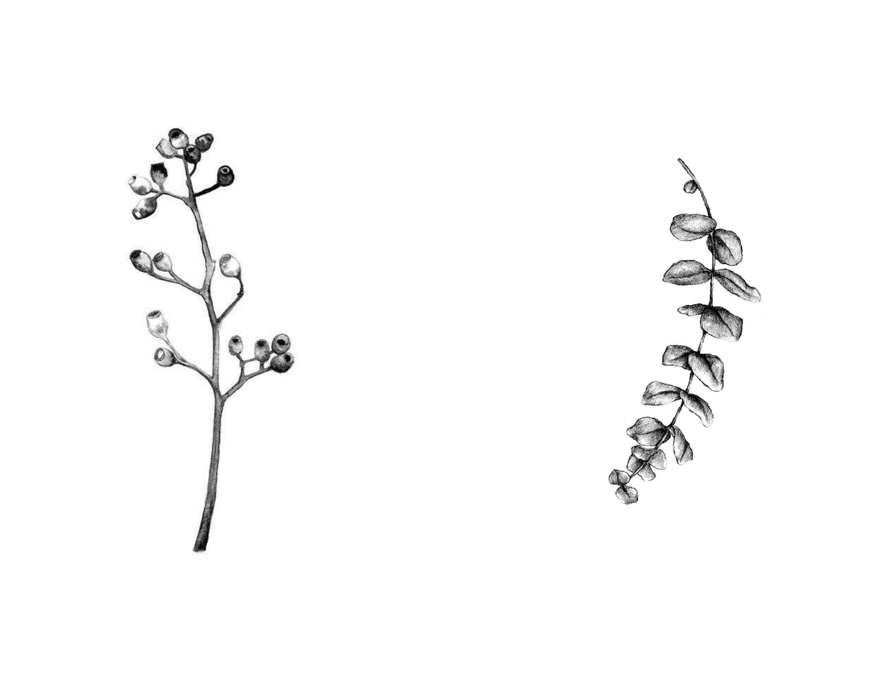

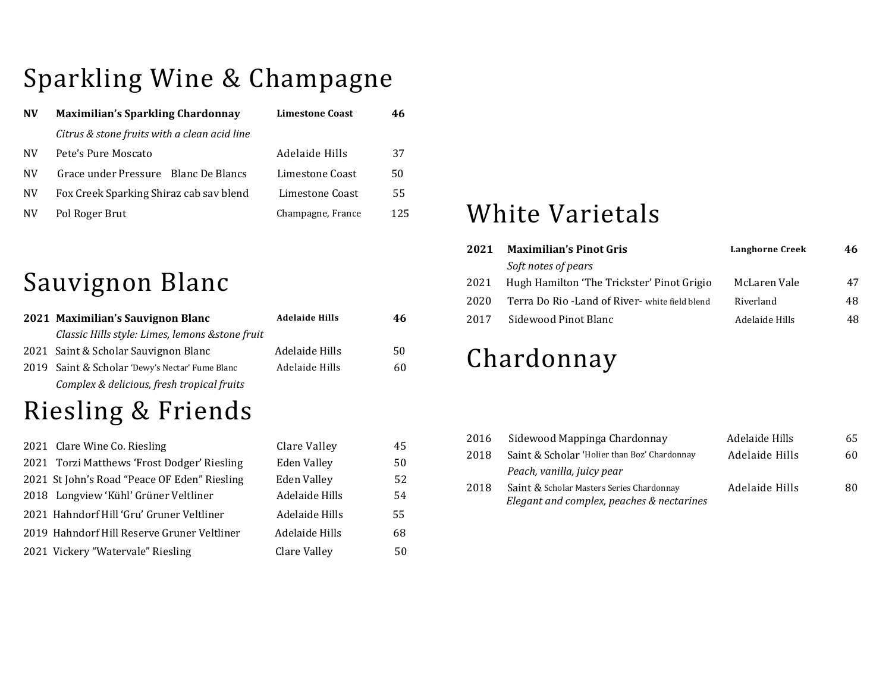# Sparkling Wine & Champagne

| <b>NV</b> | <b>Maximilian's Sparkling Chardonnay</b>     | <b>Limestone Coast</b> | 46  |
|-----------|----------------------------------------------|------------------------|-----|
|           | Citrus & stone fruits with a clean acid line |                        |     |
| NV        | Pete's Pure Moscato                          | Adelaide Hills         | 37  |
| NV        | Grace under Pressure Blanc De Blancs         | Limestone Coast        | 50  |
| NV        | Fox Creek Sparking Shiraz cab sav blend      | Limestone Coast        | 55  |
| NV        | Pol Roger Brut                               | Champagne, France      | 125 |

## Sauvignon Blanc

| 2021 Maximilian's Sauvignon Blanc                | <b>Adelaide Hills</b> | 46 |
|--------------------------------------------------|-----------------------|----|
| Classic Hills style: Limes, lemons & stone fruit |                       |    |
| 2021 Saint & Scholar Sauvignon Blanc             | Adelaide Hills        | 50 |
| 2019 Saint & Scholar 'Dewy's Nectar' Fume Blanc  | Adelaide Hills        | 60 |
| Complex & delicious, fresh tropical fruits       |                       |    |

# Riesling & Friends

| 2021 Clare Wine Co. Riesling                 | Clare Valley       | 45 |
|----------------------------------------------|--------------------|----|
| 2021 Torzi Matthews 'Frost Dodger' Riesling  | <b>Eden Valley</b> | 50 |
| 2021 St John's Road "Peace OF Eden" Riesling | Eden Valley        | 52 |
| 2018 Longview 'Kühl' Grüner Veltliner        | Adelaide Hills     | 54 |
| 2021 Hahndorf Hill 'Gru' Gruner Veltliner    | Adelaide Hills     | 55 |
| 2019 Hahndorf Hill Reserve Gruner Veltliner  | Adelaide Hills     | 68 |
| 2021 Vickery "Watervale" Riesling            | Clare Valley       | 50 |

#### White Varietals

| 2021 | <b>Maximilian's Pinot Gris</b>                 | Langhorne Creek | 46 |
|------|------------------------------------------------|-----------------|----|
|      | Soft notes of pears                            |                 |    |
| 2021 | Hugh Hamilton 'The Trickster' Pinot Grigio     | McLaren Vale    | 47 |
| 2020 | Terra Do Rio -Land of River- white field blend | Riverland       | 48 |
| 2017 | Sidewood Pinot Blanc                           | Adelaide Hills  | 48 |
|      |                                                |                 |    |

# Chardonnay

| 2016 | Sidewood Mappinga Chardonnay                                                           | Adelaide Hills | 65 |
|------|----------------------------------------------------------------------------------------|----------------|----|
| 2018 | Saint & Scholar 'Holier than Boz' Chardonnay                                           | Adelaide Hills | 60 |
|      | Peach, vanilla, juicy pear                                                             |                |    |
| 2018 | Saint & Scholar Masters Series Chardonnay<br>Elegant and complex, peaches & nectarines | Adelaide Hills | 80 |